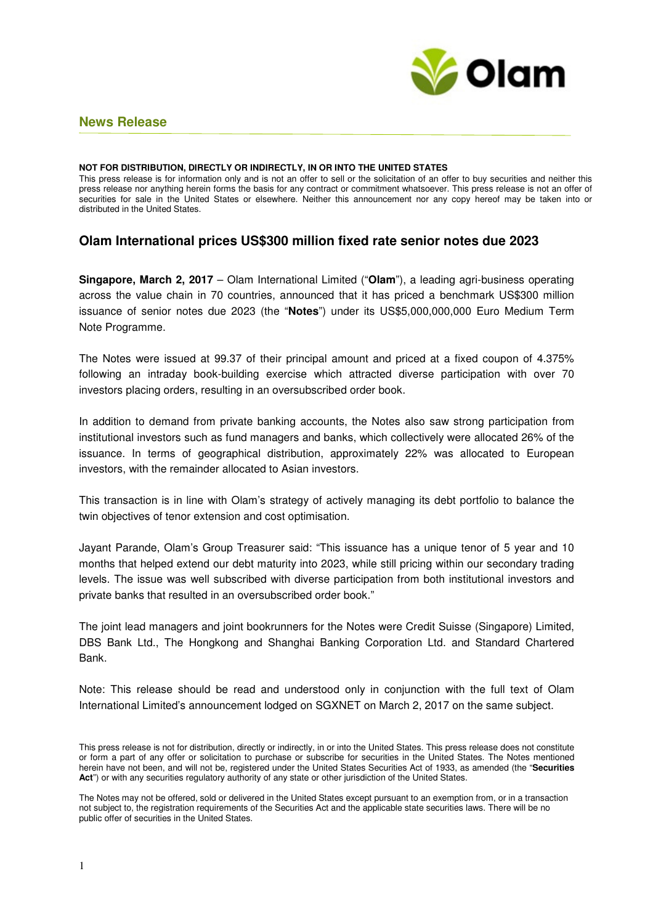

## **News Release**

#### **NOT FOR DISTRIBUTION, DIRECTLY OR INDIRECTLY, IN OR INTO THE UNITED STATES**

This press release is for information only and is not an offer to sell or the solicitation of an offer to buy securities and neither this press release nor anything herein forms the basis for any contract or commitment whatsoever. This press release is not an offer of securities for sale in the United States or elsewhere. Neither this announcement nor any copy hereof may be taken into or distributed in the United States.

# **Olam International prices US\$300 million fixed rate senior notes due 2023**

**Singapore, March 2, 2017** – Olam International Limited ("**Olam**"), a leading agri-business operating across the value chain in 70 countries, announced that it has priced a benchmark US\$300 million issuance of senior notes due 2023 (the "**Notes**") under its US\$5,000,000,000 Euro Medium Term Note Programme.

The Notes were issued at 99.37 of their principal amount and priced at a fixed coupon of 4.375% following an intraday book-building exercise which attracted diverse participation with over 70 investors placing orders, resulting in an oversubscribed order book.

In addition to demand from private banking accounts, the Notes also saw strong participation from institutional investors such as fund managers and banks, which collectively were allocated 26% of the issuance. In terms of geographical distribution, approximately 22% was allocated to European investors, with the remainder allocated to Asian investors.

This transaction is in line with Olam's strategy of actively managing its debt portfolio to balance the twin objectives of tenor extension and cost optimisation.

Jayant Parande, Olam's Group Treasurer said: "This issuance has a unique tenor of 5 year and 10 months that helped extend our debt maturity into 2023, while still pricing within our secondary trading levels. The issue was well subscribed with diverse participation from both institutional investors and private banks that resulted in an oversubscribed order book."

The joint lead managers and joint bookrunners for the Notes were Credit Suisse (Singapore) Limited, DBS Bank Ltd., The Hongkong and Shanghai Banking Corporation Ltd. and Standard Chartered Bank.

Note: This release should be read and understood only in conjunction with the full text of Olam International Limited's announcement lodged on SGXNET on March 2, 2017 on the same subject.

This press release is not for distribution, directly or indirectly, in or into the United States. This press release does not constitute or form a part of any offer or solicitation to purchase or subscribe for securities in the United States. The Notes mentioned herein have not been, and will not be, registered under the United States Securities Act of 1933, as amended (the "**Securities Act**") or with any securities regulatory authority of any state or other jurisdiction of the United States.

The Notes may not be offered, sold or delivered in the United States except pursuant to an exemption from, or in a transaction not subject to, the registration requirements of the Securities Act and the applicable state securities laws. There will be no public offer of securities in the United States.